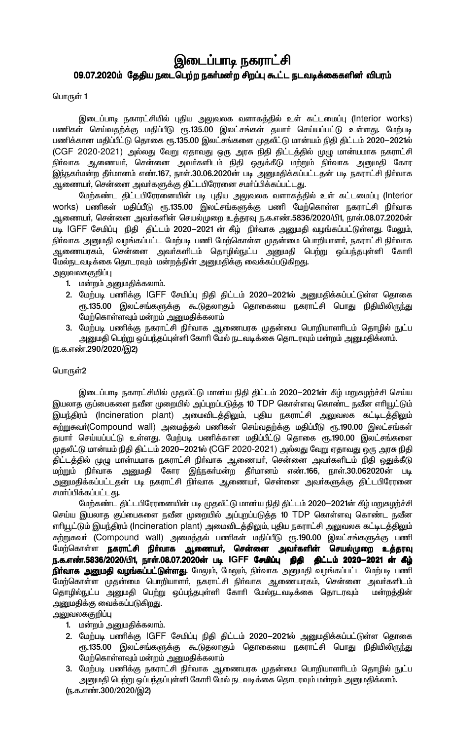# இடைப்பாடி நகராட்சி 09.07.2020ம் தேதிய நடைபெற்ற நகர்மன்ற சிறப்பு கூட்ட நடவடிக்கைகளின் விபரம்

பொருள் 1

இடைப்பாடி நகாரட்சியில் புதிய அலுவலக வளாகத்தில் உள் கட்டமைப்பு (Interior works) பணிகள் செய்வதற்க்கு மதிப்பீடு ரூ.135.00 இலட்சங்கள் தயார் செய்யப்பட்டு உள்ளது. மேற்படி பணிக்கான மதிப்பீட்டு தொகை ரூ.135.00 இலட்சங்களை முதலீட்டு மான்யம் நிதி திட்டம் 2020—2021ல் (CGF 2020-2021) அல்லது வேறு ஏதாவது ஒரு அரசு நிதி திட்டத்தில் முழு மான்யமாக நகராட்சி நிா்வாக ஆணையா், சென்னை அவா்களிடம் நிதி ஒதுக்கீடு மற்றும் நிா்வாக அனுமதி கோர இந்நகர்மன்ற தீர்மானம் எண்.167, நாள்.30.06.2020ன் படி அனுமதிக்கப்பட்டதன் படி நகராட்சி நிர்வாக ஆணையர், சென்னை அவர்களுக்கு திட்டபிரேரனை சமர்ப்பிக்கப்பட்டது.

மேற்கண்ட திட்டபிரேரனையின் படி புதிய அலுவலக வளாகத்தில் உள் கட்டமைப்பு (Interior works) பணிகள் மதிப்பீடு ரூ.135.00 இலட்சங்களுக்கு பணி மேற்கொள்ள நகராட்சி நிர்வாக ஆணையா், சென்னை அவா்களின் செயல்முறை உத்தரவு ந.க.எண்.5836/2020/பி1, நாள்.08.07.2020ன் படி IGFF சேமிப்பு நிதி திட்டம் 2020–2021 ன் கீழ் நிர்வாக அனுமதி வழங்கப்பட்டுள்ளது. மேலும், நிர்வாக அனுமதி வழங்கப்பட்ட மேற்படி பணி மேற்கொள்ள முதன்மை பொறியாளர், நகராட்சி நிர்வாக ஆணையரகம், சென்னை அவா்களிடம் தொழில்நுட்ப அனுமதி பெற்று ஒப்பந்தபுள்ளி கோாி மேல்நடவடிக்கை தொடரவும் மன்றத்தின் அனுமதிக்கு வைக்கப்படுகிறது. அலுவலககுறிப்பு

- 1. மன்றம் அனுமதிக்கலாம்.
- 2. மேற்படி பணிக்கு IGFF சேமிப்பு நிதி திட்டம் 2020-2021ல் அனுமதிக்கப்பட்டுள்ள தொகை ரு.135.00 இலட்சங்களுக்கு கூடுதலாகும் தொகையை நகராட்சி பொது நிதியிலிருந்து மேற்கொள்ளவும் மன்றம் அனுமதிக்கலாம்
- 3. மேற்படி பணிக்கு நகராட்சி நிா்வாக ஆணையரக முதன்மை பொறியாளாிடம் தொழில் நுட்ப அனுமதி பெற்று ஒப்பந்தப்புள்ளி கோரி மேல் நடவடிக்கை தொடரவும் மன்றம் அனுமதிக்லாம்.

(ந.க.எண்.290/2020/இ2)

#### பொருள்2

இடைப்பாடி நகாரட்சியில் முதலீட்டு மான்ய நிதி திட்டம் 2020—2021ன் கீழ் மறுசுழற்ச்சி செய்ய இயலாத குப்பைகளை நவீன முறையில் அப்புறப்படுத்த 10 TDP கொள்ளவு கொண்ட நவீன எரியூட்டும் இயந்திரம் (Incineration plant) அமைவிடத்திலும், புதிய நகராட்சி அலுவலக கட்டிடத்திலும் சுற்றுகவர்(Compound wall) அமைத்தல் பணிகள் செய்வதற்க்கு மதிப்பீடு ரூ.190.00 இலட்சங்கள் தயாா் செய்யப்பட்டு உள்ளது. மேற்படி பணிக்கான மதிப்பீட்டு தொகை ரூ.190.00 இலட்சங்களை முதலீட்டு மான்யம் நிதி திட்டம் 2020-2021ல் (CGF 2020-2021) அல்லது வேறு ஏதாவது ஒரு அரசு நிதி .<br>திட்டத்தில் முழு மான்யமாக நகராட்சி நிா்வாக ஆணையா், சென்னை அவா்களிடம் நிதி ஒதுக்கீடு மற்றும் நிர்வாக அனுமதி கோர இந்நகர்மன்ற தீர்மானம் எண்.166, நாள்.30.062020ன் படி அனுமதிக்கப்பட்டதன் படி நகராட்சி நிா்வாக ஆணையா், சென்னை அவா்களுக்கு திட்டபிரேரனை சமாப்பிக்கப்பட்டது.

மேற்கண்ட திட்டபிரேரனையின் படி முதலீட்டு மான்ய நிதி திட்டம் 2020–2021ன் கீழ் மறுசுழற்ச்சி செய்ய இயலாத குப்பைகளை நவீன முறையில் அப்புறப்படுத்த 10 TDP கொள்ளவு கொண்ட நவீன எரியூட்டும் இயந்திரம் (Incineration plant) அமைவிடத்திலும், புதிய நகராட்சி அலுவலக கட்டிடத்திலும் சுற்றுகவா் (Compound wall) அமைத்தல் பணிகள் மதிப்பீடு ரூ.190.00 இலட்சங்களுக்கு பணி மேற்கொள்ள **நகராட்சி நிர்வாக ஆணையா், சென்னை அவா்களின் செயல்முறை உத்தரவு** ந.க.எண்.5836/2020/பி1, நாள்.08.07.2020ன் படி IGFF **சேமிப்பு நிதி திட்டம் 2020—2021 ன் கீழ்** <mark>நிர்வாக அனுமதி வழங்கப்பட்டுள்ளது</mark>. மேலும், மேலும், நிர்வாக அனுமதி வழங்கப்பட்ட மேற்படி பணி .<br>மேற்கொள்ள முதன்மை பொறியாளா், நகராட்சி நிா்வாக ஆணையரகம், சென்னை அவா்களிடம் தொழில்நுட்ப அனுமதி பெற்று ஒப்பந்தபுள்ளி கோரி மேல்நடவடிக்கை தொடரவும் மன்றத்தின் அனுமதிக்கு வைக்கப்படுகிறது.

அலுவலககுறிப்பு

- 1. மன்றம் அனுமதிக்கலாம்.
- 2. மேற்படி பணிக்கு IGFF சேமிப்பு நிதி திட்டம் 2020–2021ல் அனுமதிக்கப்பட்டுள்ள தொகை ரூ.135.00 இலட்சங்களுக்கு கூடுதலாகும் தொகையை நகராட்சி பொது நிதியிலிருந்து மேற்கொள்ளவும் மன்றம் அனுமதிக்கலாம்
- 3. மேற்படி பணிக்கு நகராட்சி நிா்வாக ஆணையரக முதன்மை பொறியாளாிடம் தொழில் நுட்ப அனுமதி பெற்று ஒப்பந்தப்புள்ளி கோரி மேல் நடவடிக்கை தொடரவும் மன்றம் அனுமதிக்லாம்.
- (ந.க.எண்.300/2020/இ2)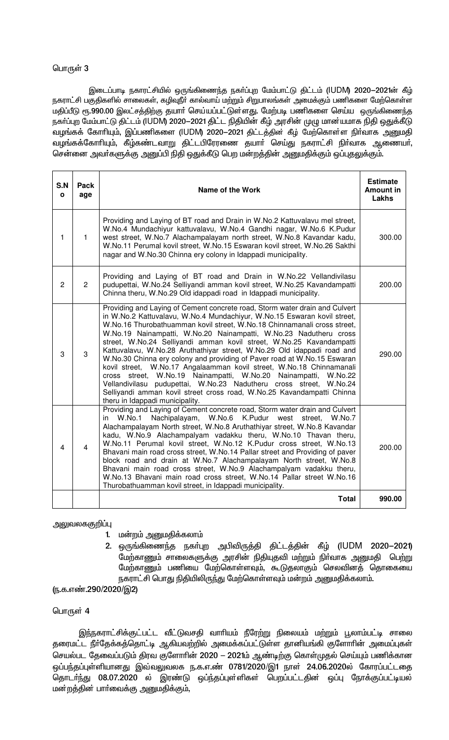#### பொருள் 3

இடைப்பாடி நகாரட்சியில் ஒருங்கிணைந்த நகா்ப்புற மேம்பாட்டு திட்டம் (IUDM) 2020-2021ன் கீழ் நகராட்சி பகுதிகளில் சாலைகள், கழிவுநீா் கால்வாய் மற்றும் சிறுபாலங்கள் அமைக்கும் பணிகளை மேற்கொள்ள மதிப்பீடு ரூ.990.00 இலட்சத்திற்கு தயாா் செய்யப்பட்டுள்ளது. மேற்படி பணிகளை செய்ய ஒருங்கிணைந்த நகர்ப்புற மேம்பாட்டு திட்டம் (IUDM) 2020–2021 திட்ட நிதியின் கீழ் அரசின் முழு மான யமாக நிதி ஒதுக்கீடு வழங்கக் கோரியும், இப்பணிகளை (IUDM) 2020-2021 திட்டத்தின் கீழ் மேற்கொள்ள நிா்வாக அனுமதி வழங்கக்கோரியும், கீழ்கண்டவாறு திட்டபிரேரணை தயாா் செய்து நகராட்சி நிா்வாக ஆணையா், சென்னை அவா்களுக்கு அனுப்பி நிதி ஒதுக்கீடு பெற மன்றத்தின் அனுமதிக்கும் ஒப்புதலுக்கும்.

| S.N<br>$\mathbf{o}$     | <b>Pack</b><br>age | Name of the Work                                                                                                                                                                                                                                                                                                                                                                                                                                                                                                                                                                                                                                                                                                                                                                                                                                                            | <b>Estimate</b><br>Amount in<br>Lakhs |
|-------------------------|--------------------|-----------------------------------------------------------------------------------------------------------------------------------------------------------------------------------------------------------------------------------------------------------------------------------------------------------------------------------------------------------------------------------------------------------------------------------------------------------------------------------------------------------------------------------------------------------------------------------------------------------------------------------------------------------------------------------------------------------------------------------------------------------------------------------------------------------------------------------------------------------------------------|---------------------------------------|
| 1                       | $\mathbf{1}$       | Providing and Laying of BT road and Drain in W.No.2 Kattuvalavu mel street,<br>W.No.4 Mundachiyur kattuvalavu, W.No.4 Gandhi nagar, W.No.6 K.Pudur<br>west street, W.No.7 Alachampalayam north street, W.No.8 Kavandar kadu,<br>W.No.11 Perumal kovil street, W.No.15 Eswaran kovil street, W.No.26 Sakthi<br>nagar and W.No.30 Chinna ery colony in Idappadi municipality.                                                                                                                                                                                                                                                                                                                                                                                                                                                                                                 | 300.00                                |
| $\overline{c}$          | $\overline{2}$     | Providing and Laying of BT road and Drain in W.No.22 Vellandivilasu<br>pudupettai, W.No.24 Selliyandi amman kovil street, W.No.25 Kavandampatti<br>Chinna theru, W.No.29 Old idappadi road in Idappadi municipality.                                                                                                                                                                                                                                                                                                                                                                                                                                                                                                                                                                                                                                                        | 200.00                                |
| 3                       | 3                  | Providing and Laying of Cement concrete road, Storm water drain and Culvert<br>in W.No.2 Kattuvalavu, W.No.4 Mundachiyur, W.No.15 Eswaran kovil street,<br>W.No.16 Thurobathuamman kovil street, W.No.18 Chinnamanali cross street,<br>W.No.19 Nainampatti, W.No.20 Nainampatti, W.No.23 Nadutheru cross<br>street, W.No.24 Selliyandi amman kovil street, W.No.25 Kavandampatti<br>Kattuvalavu, W.No.28 Aruthathiyar street, W.No.29 Old idappadi road and<br>W.No.30 Chinna ery colony and providing of Paver road at W.No.15 Eswaran<br>kovil street, W.No.17 Angalaamman kovil street, W.No.18 Chinnamanali<br>cross street, W.No.19 Nainampatti, W.No.20 Nainampatti,<br>W.No.22<br>Vellandivilasu pudupettai, W.No.23 Nadutheru cross street,<br>W.No.24<br>Selliyandi amman kovil street cross road, W.No.25 Kavandampatti Chinna<br>theru in Idappadi municipality. | 290.00                                |
| $\overline{\mathbf{4}}$ | $\overline{4}$     | Providing and Laying of Cement concrete road, Storm water drain and Culvert<br>Nachipalayam, W.No.6 K.Pudur west<br>W.No.1<br>W.No.7<br>in<br>street,<br>Alachampalayam North street, W.No.8 Aruthathiyar street, W.No.8 Kavandar<br>kadu, W.No.9 Alachampalyam vadakku theru, W.No.10 Thavan theru,<br>W.No.11 Perumal kovil street, W.No.12 K.Pudur cross street, W.No.13<br>Bhavani main road cross street, W.No.14 Pallar street and Providing of paver<br>block road and drain at W.No.7 Alachampalayam North street, W.No.8<br>Bhavani main road cross street, W.No.9 Alachampalyam vadakku theru,<br>W.No.13 Bhavani main road cross street, W.No.14 Pallar street W.No.16<br>Thurobathuamman kovil street, in Idappadi municipality.                                                                                                                                | 200.00                                |
|                         |                    | <b>Total</b>                                                                                                                                                                                                                                                                                                                                                                                                                                                                                                                                                                                                                                                                                                                                                                                                                                                                | 990.00                                |

அலுவலககுறிப்பு

- 1. மன்றம் அனுமதிக்கலாம்
- 2. ஒருங்கிணைந்த நகா்புற அபிவிருத்தி திட்டத்தின் கீழ் (IUDM 2020-2021) மேற்காணும் சாலைகளுக்கு அரசின் நிதியுதவி மற்றும் நிா்வாக அனுமதி பெற்று மேற்காணும் பணியை மேற்கொள்ளவும், கூடுதலாகும் செலவினத் தொகையை நகராட்சி பொது நிதியிலிருந்து மேற்கொள்ளவும் மன்றம் அனுமதிக்கலாம்.

(ந.க.எண்.290/2020/இ2)

#### பொருள் $4$

இந்நகராட்சிக்குட்பட்ட வீட்டுவசதி வாரியம் நீரேற்று நிலையம் மற்றும் பூலாம்பட்டி சாலை தரைமட்ட நீா்தேக்கத்தொட்டி ஆகியவற்றில் அமைக்கப்பட்டுள்ள தானியங்கி குளோாின் அமைப்புகள் செயல்பட தேவைப்படும் திரவ குளோரின் 2020 – 2021ம் ஆண்டிற்கு கொள்முதல் செய்யும் பணிக்கான ஒப்பந்தப்புள்ளியானது இவ்வலுவலக ந.க.எ.ண் 0781/2020/இ1 நாள் 24.06.2020ல் கோரப்பட்டதை <u>தொடர்ந்து</u> 08.07.2020 ல் இரண்டு ஒப்ந்தப்புள்ளிகள் பெறப்பட்டதின் ஒப்பு நோக்குப்பட்டியல் மன்றத்தின் பாா்வைக்கு அனுமதிக்கும்,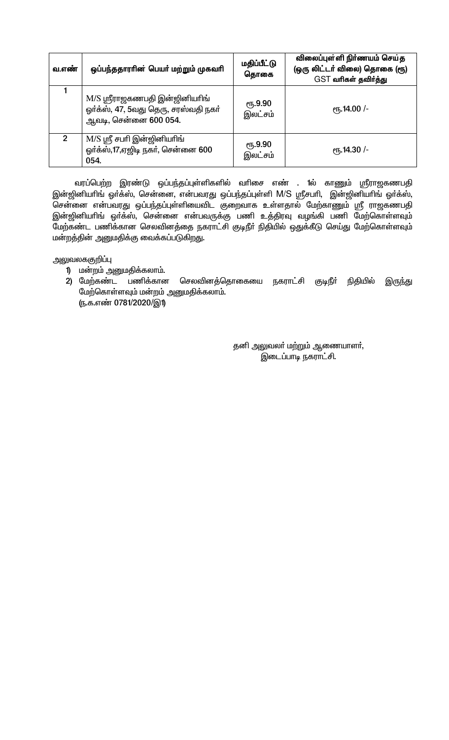| வ.எண்          | ஒப்பந்ததாரரின் பெயர் மற்றும் முகவரி                                                            | மதிப்பீட்டு<br>தொகை         | விலைப்புள்ளி நிர்ணயம் செய்த<br>(ஒரு லிட்டர் விலை) தொகை (ரூ)<br>GST வரிகள் தவிர்த்து |
|----------------|------------------------------------------------------------------------------------------------|-----------------------------|-------------------------------------------------------------------------------------|
|                | M/S ஸ்ரீராஜகணபதி இன்ஜினியரிங்<br>ஓர்க்ஸ், 47, 5வது தெரு, சரஸ்வதி நகர்<br>ஆவடி, சென்னை 600 054. | $\sqrt{61.9.90}$<br>இலட்சம் | $\epsilon$ гђ.14.00 /-                                                              |
| $\mathfrak{p}$ | M/S ஸ்ரீ சபரி இன்ஜினியரிங்<br>ஓர்க்ஸ்,17,ஏஜிடி நகர், சென்னை 600<br>054.                        | <b>е</b> ђ.9.90<br>இலட்சம்  | <sub>(</sub> դ.14.30 /-                                                             |

வரப்பெற்ற இரண்டு ஒப்பந்தப்புள்ளிகளில் வரிசை எண் . 1ல் காணும் ஸ்ரீராஜகணபதி இன்ஜினியாிங் ஓர்க்ஸ், சென்னை, என்பவரது ஒப்பந்தப்புள்ளி M/S ஸ்ரீசபாி, இன்ஜினியாிங் ஓர்க்ஸ், சென்னை என்பவரது ஒப்பந்தப்புள்ளியைவிட குறைவாக உள்ளதால் மேற்காணும் ஸ்ரீ ராஜகணபதி இன்ஜினியாிங் ஒா்க்ஸ், சென்னை என்பவருக்கு பணி உத்திரவு வழங்கி பணி மேற்கொள்ளவும் மேற்கண்ட பணிக்கான செலவினத்தை நகராட்சி குடிநீா் நிதியில் ஒதுக்கீடு செய்து மேற்கொள்ளவும் மன்றத்தின் அனுமதிக்கு வைக்கப்படுகிறது.

அலுவலககுறிப்பு

- 1) மன்றம் அனுமதிக்கலாம்.
- 2) மேற்கண்ட பணிக்கான செலவினத்தொகையை நகராட்சி குடிநீா் நிதியில் இருந்து மேற்கொள்ளவும் மன்றம் அனுமதிக்கலாம். (ந.க.எண் 0781/2020/இ1)

தனி அலுவலா் மற்றும் ஆணையாளா், இடைப்பாடி நகராட்சி.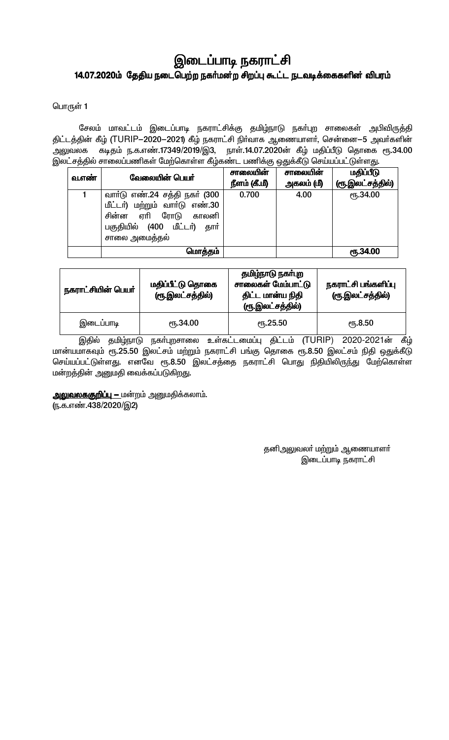# இடைப்பாடி நகராட்சி 14.07.2020ம் தேதிய நடைபெற்ற நகர்மன்ற சிறப்பு கூட்ட நடவடிக்கைகளின் விபரம்

பொருள் 1

சேலம் மாவட்டம் இடைப்பாடி நகராட்சிக்கு தமிழ்நாடு நகா்புற சாலைகள் அபிவிருத்தி திட்டத்தின் கீழ் (TURIP–2020–2021) கீழ் நகராட்சி நிர்வாக ஆணையாளர், சென்னை–5 அவர்களின் அலுவலக கடிதம் ந.க.எண்.17349/2019/இ3, நாள்.14.07.2020ன் கீழ் மதிப்பீடு தொகை ரூ.34.00 இலட்சத்தில் சாலைப்பணிகள் மேற்கொள்ள கீழ்கண்ட பணிக்கு ஒதுக்கீடு செய்யப்பட்டுள்ளது.

| வ.எண் | வேலையின் பெயர்                                                                                                                                 | சாலையின்<br>நீளம் (கீ.மீ) | சாலையின்<br>அகலம் (மீ) | மதிப்பீடு<br>(ரூ.இலட்சத்தில்) |
|-------|------------------------------------------------------------------------------------------------------------------------------------------------|---------------------------|------------------------|-------------------------------|
|       | வார்டு எண்.24 சத்தி நகர் (300<br>மீட்டர்) மற்றும் வார்டு எண்.30<br>சின்ன ஏரி ரோடு<br>காலனி<br>பகுதியில் (400 மீட்டர்)<br>தார்<br>சாலை அமைத்தல் | 0.700                     | 4.00                   | <b>е</b> ҧ.34.00              |
|       | மொத்தம்                                                                                                                                        |                           |                        | <b>е</b> љ.34.00              |

| நகராட்சியின் பெயர் | மதிப்பீட்டு தொகை<br>(ரூ.இலட்சத்தில்) | தமிழ்நாடு நகா்புற<br>சாலைகள் மேம்பாட்டு<br>திட்ட மான்ய நிதி<br>(ரூ.இலட்சத்தில்) | நகராட்சி பங்களிப்பு<br>(ரூ.இலட்சத்தில்) |
|--------------------|--------------------------------------|---------------------------------------------------------------------------------|-----------------------------------------|
| இடைப்பாடி          | <b>е</b> ҧ.34.00                     | $\epsilon$ <sup>16</sup> .25.50                                                 | <b>е</b> ђ.8.50                         |

இதில் தமிழ்நாடு நகா்புறசாலை உள்கட்டமைப்பு திட்டம் (TURIP) 2020-2021ன் கீழ் மான்யமாகவும் ரூ.25.50 இலட்சம் மற்றும் நகராட்சி பங்கு தொகை ரூ.8.50 இலட்சம் நிதி ஒதுக்கீடு செய்யப்பட்டுள்ளது. எனவே ரூ.8.50 இலட்சத்தை நகராட்சி பொது நிதியிலிருந்து மேற்கொள்ள மன்றத்தின் அனுமதி வைக்கப்படுகிறது.

**அலுவலககுறிப்பு –** மன்றம் அனுமதிக்கலாம். (ந.க.எண்.438/2020/இ2)

> தனிஅலுவலா் மற்றும் ஆணையாளா் இடைப்பாடி நகராட்சி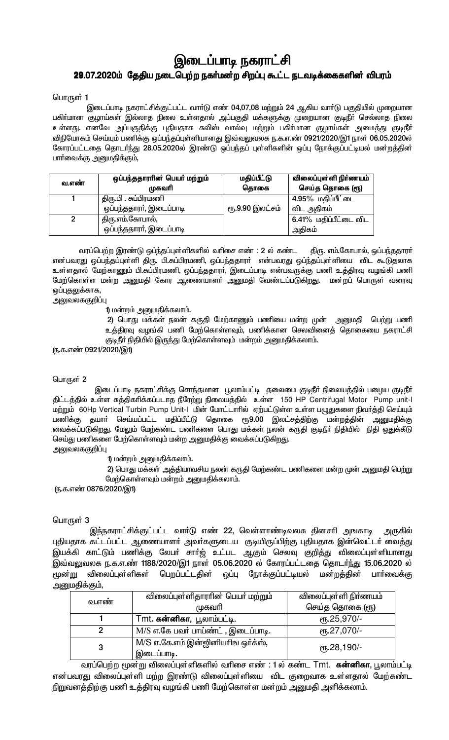# இடைப்பாடி நகராட்சி 29.07.2020ம் தேதிய நடைபெற்ற நகர்மன்ற சிறப்பு கூட்ட நடவடிக்கைகளின் விபரம்

#### பொருள் 1

இடைப்பாடி நகராட்சிக்குட்பட்ட வார்டு எண் 04,07,08 மற்றும் 24 ஆகிய வார்டு பகுதியில் முறையான பகிா்மான குழாய்கள் இல்லாத நிலை உள்ளதால் அப்பகுதி மக்களுக்கு முறையான குடிநீா் செல்லாத நிலை உள்ளது. எனவே அப்பகுதிக்கு புதியதாக சுலிஸ் வால்வு மற்றும் பகிா்மான குழாய்கள் அமைத்து குடிநீா் விநியோகம் செய்யும் பணிக்கு ஒப்பந்தப்புள்ளியானது இவ்வலுவலக ந.க.எ.ண் 0921/2020/இ1 நாள் 06.05.2020ல் கோரப்பட்டதை தொடர்ந்து 28.05.2020ல் இரண்டு ஒப்பந்தப் புள்ளிகளின் ஒப்பு நோக்குப்பட்டியல் மன்றத்தின் பாா்வைக்கு அனுமதிக்கும்,

| வ.எண் | ஒப்பந்ததாராின் பெயா் மற்றும் | மதிப்பீட்டு     | விலைப்புள்ளி நிர்ணயம் |
|-------|------------------------------|-----------------|-----------------------|
|       | முகவரி                       | தொகை            | செய்த தொகை (ரூ)       |
|       | திரு.பி . சுப்பிரமணி         |                 | 4.95% மதிப்பீட்டை     |
|       | ஒப்பந்ததாரா், இடைப்பாடி      | ரூ.9.90 இலட்சம் | விட அதிகம்            |
|       | திரு.எம்.கோபால்,             |                 | 6.41% மதிப்பீட்டை விட |
|       | ஒப்பந்ததாரா், இடைப்பாடி      |                 | அதிகம்                |

வரப்பெற்ற இரண்டு ஒப்ந்தப்புள்ளிகளில் வாிசை எண் : 2 ல் கண்ட திரு. எம்.கோபால், ஒப்பந்ததாரா் என்பவரது ஒப்பந்தப்புள்ளி திரு. பி.சுப்பிரமணி, ஒப்பந்ததாரா் என்பவரது ஒப்ந்தப்புள்ளியை விட கூடுதலாக உள்ளதால் மேற்காணும் பி.சுப்பிரமணி, ஒப்பந்ததாரா, இடைப்பாடி என்பவருக்கு பணி உத்திரவு வழங்கி பணி மேற்கொள்ள மன்ற அனுமதி கோர ஆணையாளா் அனுமதி வேண்டப்படுகிறது. மன்றப் பொருள் வரைவு ஒப்புதலுக்காக,

அலுவலககுறி**ப்**பு

1) மன்றம் அனுமதிக்கலாம்.

2) பொது மக்கள் நலன் கருதி மேற்காணும் பணியை மன்ற முன் அனுமதி பெற்று பணி உத்திரவு வழங்கி பணி மேற்கொள்ளவும், பணிக்கான செலவினைத் தொகையை நகராட்சி குடிநீா் நிதியில் இருந்து மேற்கொள்ளவும் மன்றம் அனுமதிக்கலாம்.

(ந.க.எண் 0921/2020/இ1)

#### பொருள் 2

இடைப்பாடி நகராட்சிக்கு சொந்தமான பூலாம்பட்டி தலைமை குடிநீா் நிலையத்தில் பழைய குடிநீா் திட்டத்தில் உள்ள சுத்திகரிக்கப்படாத நீரேற்று நிலையத்தில் உள்ள 150 HP Centrifugal Motor Pump unit-l மற்றும் 60Hp Vertical Turbin Pump Unit-I மின் மோட்டாரில் ஏற்பட்டுள்ள உள்ள பழுதுகளை நிவர்த்தி செய்யும் பணிக்கு தயாா் செய்யப்பட்ட மதிப்பீட்டு தொகை ரூ9.00 இலட்சத்திற்கு மன்றத்தின் அனுமதிக்கு .<br>வைக்கப்படுகிறது. மேலும் மேற்கண்ட பணிகளை பொது மக்கள் நலன் கருதி குடிநீா் நிதியில் நிதி ஒதுக்கீடு செய்து பணிகளை மேற்கொள்ளவும் மன்ற அனுமதிக்கு வைக்கப்படுகிறது. அலுவலககுறி**ப்**பு

1) மன்றம் அனுமதிக்கலாம்.

2) பொது மக்கள் அத்தியாவசிய நலன் கருதி மேற்கண்ட பணிகளை மன்ற முன் அனுமதி பெற்று மேற்கொள்ளவும் மன்றம் அனுமதிக்கலாம்.

(ந.க.எண் 0876/2020/இ1)

#### பொருள் 3

இந்நகராட்சிக்குட்பட்ட வாா்டு எண் 22, வெள்ளாண்டிவலசு தினசாி அஙகாடி அருகில் புதியதாக கட்டப்பட்ட ஆணையாளா் அவா்களுடைய குடியிருப்பிற்கு புதியதாக இன்வெட்டா் வைத்து .<br>இவ்வலுவலக ந.க.எ.ண் 1188/2020/இ1 நாள் 05.06.2020 ல் கோரப்பட்டதை தொடர்ந்து 15.06.2020 ல் <u>மூன்று</u> விலைப்புள்ளிகள் பெறப்பட்டதின் ஒப்பு நோக்குப்பட்டியல் மன்றத்தின் பாா்வைக்கு அனுமதிக்கும்,

|       | விலைப்புள்ளிதாராின் பெயா் மற்றும்               | விலைப்புள்ளி நிா்ணயம்    |
|-------|-------------------------------------------------|--------------------------|
| வ.எண் | முகவரி                                          | செய்த தொகை (ரூ)          |
|       | Tmt. கன்னிகா, பூலாம்பட்டி.                      | eҧ.25,970/-              |
| 2     | M/S எ.கே பவர் பாய்ண்ட், இடைப்பாடி.              | $\epsilon$ гђ.27,070/-   |
| 3     | M/S எ.கே.எம் இன்ஜினியரிங ஒர்க்ஸ்,<br>இடைப்பாடி. | <sub>0</sub> гг.28,190/- |

வரப்பெற்ற மூன்று விலைப்புள்ளிகளில் வரிசை எண் : 1 ல் கண்ட Tmt. **கன்னிகா**, பூலாம்பட்டி என்பவரது விலைப்புள்ளி மற்ற இரண்டு விலைப்புள்ளியை விட குறைவாக உள்ளதால் மேற்கண்ட நிறுவனத்திற்கு பணி உத்திரவு வழங்கி பணி மேற்கொள்ள மன்றம் அனுமதி அளிக்கலாம்.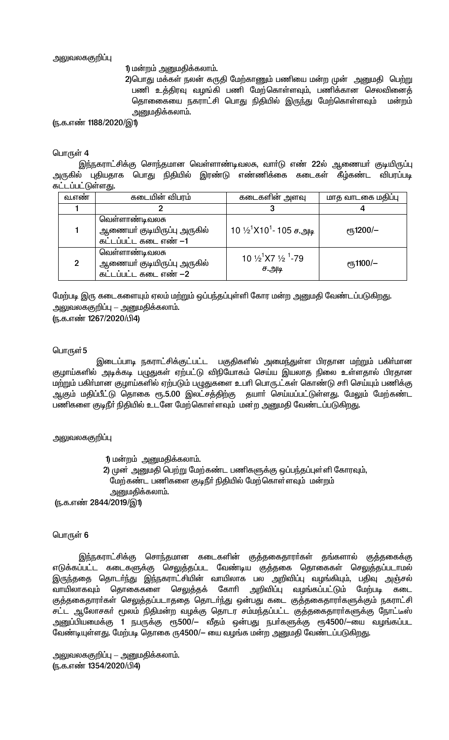அலுவலககுறிப்பு

1) மன்றம் அனுமதிக்கலாம்.

2)பொது மக்கள் நலன் கருதி மேற்காணும் பணியை மன்ற முன் அனுமதி பெற்று பணி உத்திரவு வழங்கி பணி மேற்கொள்ளவும், பணிக்கான செலவினைத் தொணைகயை நகராட்சி பொது நிதியில் இருந்து மேற்கொள்ளவும் மன்றம் அனுமதிக்கலாம்.

(ந.க.எண் 1188/2020/இ1)

#### பொருள் 4

இந்நகராட்சிக்கு சொந்தமான வெள்ளாண்டிவலசு, வார்டு எண் 22ல் ஆணையர் குடியிருப்பு அருகில் புதியதாக பொது நிதியில் இரண்டு எண்ணிக்கை கடைகள் கீழ்கண்ட விபரப்படி கட்டப்பட்டுள்ளது.

| வ.எண           | கடையின் விபரம்                                                         | கடைகளின் அளவு                                   | மாத வாடகை மதிப்பு         |
|----------------|------------------------------------------------------------------------|-------------------------------------------------|---------------------------|
|                |                                                                        |                                                 |                           |
|                | வெள்ளாண்டிவலசு<br>ஆணையா் குடியிருப்பு அருகில்<br>கட்டப்பட்ட கடை எண் –1 | $10\frac{1}{2}$ 1710 <sup>1</sup> - 105 ச.அடி   | $\rm e$ <sup>1200/-</sup> |
| $\overline{2}$ | வெள்ளாண்டிவலசு<br>ஆணையா் குடியிருப்பு அருகில்<br>கட்டப்பட்ட கடை எண் –2 | 10 $\frac{1}{2}$ X7 $\frac{1}{2}$ 1-79<br>ச.அடி | $\epsilon$ гђ1100/—       |

மேற்படி இரு கடைகளையும் ஏலம் மற்றும் ஒப்பந்தப்புள்ளி கோர மன்ற அனுமதி வேண்டப்படுகிறது. <u> அலுவலககுறிப்பு — அனுமதிக்கலாம்.</u>

(ந.க.எண் 1267/2020/பி4)

#### பொருள் 5

இடைப்பாடி நகராட்சிக்குட்பட்ட பகுதிகளில் அமைந்துள்ள பிரதான மற்றும் பகிா்மான குழாய்களில் அடிக்கடி பழுதுகள் ஏற்பட்டு விநியோகம் செய்ய இயலாத நிலை உள்ளதால் பிரதான மற்றும் பகிர்மான குழாய்களில் ஏற்படும் பழுதுகளை உபரி பொரு.ட்கள் கொண்டு சரி செய்யும் பணிக்கு ஆகும் மதிப்பீட்டு தொகை ரூ.5.00 இலட்சத்திற்கு தயாா் செய்யப்பட்டுள்ளது. மேலும் மேற்கண்ட பணிகளை குடிநீா் நிதியில் உடனே மேற்கொள்ளவும் மன்ற அனுமதி வேண்டப்படுகிறது.

#### அலுவலககுறிப்பு

- 1) மன்றம் அனுமதிக்கலாம்.
- 2) முன் அனுமதி பெற்று மேற்கண்ட பணிகளுக்கு ஒப்பந்தப்புள்ளி கோரவும், மேற்கண்ட பணிகளை குடிநீா் நிதியில் மேற்கொள்ளவும் மன்றம் அனுமதிக்கலாம்.

(ந.க.எண் 2844/2019/இ1)

#### பொருள் 6

இந்நகராட்சிக்கு சொந்தமான கடைகளின் குத்தகைதாரா்கள் தங்களால் குத்தகைக்கு எடுக்கப்பட்ட கடைகளுக்கு செலுத்தப்பட வேண்டிய குத்தகை தொகைகள் செலுத்தப்படாமல் இருந்ததை தொடா்ந்து இந்நகராட்சியின் வாயிலாக பல அறிவிப்பு வழங்கியும், பதிவு அஞ்சல் வாயிலாகவும் தொகைகளை செலுத்தக் கோரி அறிவிப்பு வழங்கப்பட்டும் மேற்படி கடை குத்தகைதாரா்கள் செலுத்தப்படாததை தொடா்ந்து ஒன்பது கடை குத்தகைதாரா்களுக்கும் நகராட்சி சட்ட ஆலோசகா் மூலம் நிதிமன்ற வழக்கு தொடர சம்மந்தப்பட்ட குத்தகைதாரா்களுக்கு நோட்டீஸ் அனுப்பியமைக்கு 1 நபருக்கு ரூ500/— வீதம் ஒன்பது நபா்களுக்கு ரூ4500/—யை வழங்கப்பட வேண்டியுள்ளது. மேற்படி தொகை ரு4500/— யை வழங்க மன்ற அனுமதி வேண்டப்படுகிறது.

அலுவலககுறிப்பு — அனுமதிக்கலாம். (ந.க.எண் 1354/2020/பி4)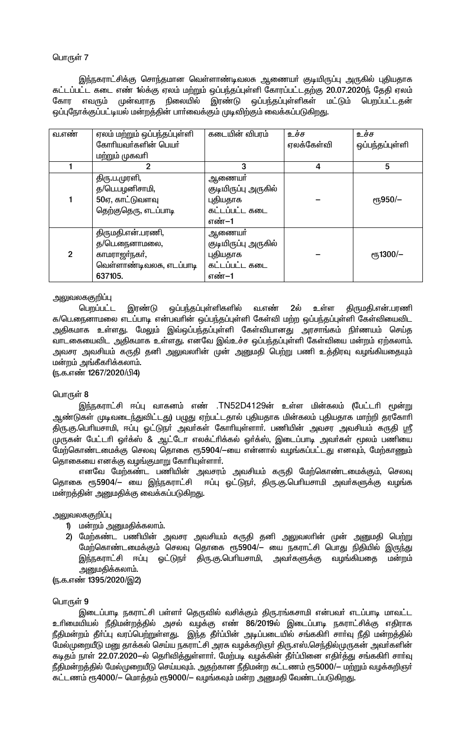# பொருள் 7

இந்நகராட்சிக்கு சொந்தமான வெள்ளாண்டிவலசு ஆணையா் குடியிருப்பு அருகில் புதியதாக கட்டப்பட்ட கடை எண் 1ல்க்கு ஏலம் மற்றும் ஒப்பந்தப்புள்ளி கோரப்பட்டதற்கு 20.07.2020ந் தேதி ஏலம் நிலையில் இரண்டு ஒப்பந்தப்புள்ளிகள் மட்டும் பெறப்பட்டதன் கோர எவரும் முன்வராத ஒப்புநோக்குப்பட்டியல் மன்றத்தின் பாா்வைக்கும் முடிவிற்கும் வைக்கப்படுகிறது.

| வ.எண்        | ஏலம் மற்றும் ஒப்பந்தப்புள்ளி | கடையின் விபரம்       | உச்ச       | உச்ச                              |
|--------------|------------------------------|----------------------|------------|-----------------------------------|
|              | கோரியவர்களின் பெயர்          |                      | ஏலக்கேள்வி | ஒப்பந்தப்புள்ளி                   |
|              | மற்றும் முகவரி               |                      |            |                                   |
|              | 2                            | 3                    | 4          | 5                                 |
|              | திரு.ப.முரளி,                | ஆணையா                |            |                                   |
|              | த/பெ.பழனிசாமி,               | குடியிருப்பு அருகில் |            |                                   |
|              | 50ஏ, காட்டுவளவு              | புதியதாக             |            | <sub>е</sub> п <sub>5</sub> 950/- |
|              | தெற்குதெரு, எடப்பாடி         | கட்டப்பட்ட கடை       |            |                                   |
|              |                              | எண்–1                |            |                                   |
|              | திருமதி.என்.பரணி,            | ஆணையா்               |            |                                   |
|              | த/பெ.நைனாமலை,                | குடியிருப்பு அருகில் |            |                                   |
| $\mathbf{2}$ | காமராஜா்நகா்,                | புதியதாக             |            | $\epsilon$ гђ1300/-               |
|              | வெள்ளாண்டிவலசு, எடப்பாடி     | கட்டப்பட்ட கடை       |            |                                   |
|              | 637105.                      | எண்–1                |            |                                   |

# அலுவலககுறிப்பு

பெறப்பட்ட இரண்டு ஒப்பந்தப்புள்ளிகளில் வ.எண் 2ல் உள்ள திருமதி.என்.பரணி க/பெ.நைனாமலை எடப்பாடி என்பவரின் ஒப்பந்தப்புள்ளி கேள்வி மற்ற ஒப்பந்தப்புள்ளி கேள்வியைவிட அதிகமாக உள்ளது. மேலும் இவ்ஒப்பந்தப்புள்ளி கேள்வியானது அரசாங்கம் நிா்ணயம் செய்த வாடகையைவிட அதிகமாக உள்ளது. எனவே இவ்உச்ச ஒப்பந்தப்புள்ளி கேள்வியை மன்றம் ஏற்கலாம். அவசர அவசியம் கருதி தனி அலுவலாின் முன் அனுமதி பெற்று பணி உத்திரவு வழங்கியதையும் மன்றம் அங்கீகரிக்கலாம்.

(ந.க.எண் 1267/2020/பி4)

#### பொருள் 8

இந்நகராட்சி ஈப்பு வாகனம் எண் .TN52D4129ன் உள்ள மின்கலம் (பேட்டரி மூன்று ஆண்டுகள் முடிவடைந்துவிட்டது) பழுது ஏற்பட்டதால் புதியதாக மின்கலம் புதியதாக மாற்றி தரகோாி திரு.கு.பெரியசாமி, ஈப்பு ஓட்டுநா் அவா்கள் கோரியுள்ளாா். பணியின் அவசர அவசியம் கருதி ஸ்ரீ முருகன் பேட்டரி ஓர்க்ஸ் & ஆட்டோ எலக்ட்ரிக்கல் ஓர்க்ஸ், இடைப்பாடி அவர்கள் மூலம் பணியை மேற்கொண்டமைக்கு செலவு தொகை ரூ5904/—யை என்னால் வழங்கப்பட்டது எனவும், மேற்காணும் தொகையை எனக்கு வழங்குமாறு கோரியுள்ளார்.

எனவே மேற்கண்ட பணியின் அவசரம் அவசியம் கருதி மேற்கொண்டமைக்கும், செலவு தொகை ரூ5904/— யை இந்நகராட்சி ஈப்பு ஓட்டுநா், திரு.கு.பொியசாமி அவா்களுக்கு வழங்க மன்றத்தின் அனுமதிக்கு வைக்கப்படுகிறது.

#### அலுவலககுறிப்பு

- 1) மன்றம் அனுமதிக்கலாம்.
- 2) மேற்கண்ட பணியின் அவசர அவசியம் கருதி தனி அலுவலாின் முன் அனுமதி பெற்று மேற்கொண்டமைக்கும் செலவு தொகை ரூ5904/— யை நகராட்சி பொது நிதியில் இருந்து இந்நகராட்சி ஈப்பு ஒட்டுநா் திரு.கு.பெரியசாமி, அவா்களுக்கு வழங்கியதை மன்றம் அனுமதிக்கலாம்.

(ந.க.எண் 1395/2020/இ2)

#### பொருள் 9

இடைப்பாடி நகராட்சி பள்ளா் தெருவில் வசிக்கும் திரு.ரங்கசாமி என்பவா் எடப்பாடி மாவட்ட உரிமையியல் நீதிமன்றத்தில் அசல் வழக்கு எண் 86/2019ல் இடைப்பாடி நகராட்சிக்கு எதிராக நீதிமன்றம் தீா்ப்பு வரப்பெற்றுள்ளது. இந்த தீா்ப்பின் அடிப்படையில் சங்ககிாி சாா்வு நீதி மன்றத்தில் மேல்முறையீடு மனு தாக்கல் செய்ய நகராட்சி அரசு வழக்கறிஞர் திரு.எஸ்.செந்தில்முருகன் அவர்களின் கடிதம் நாள் 22.07.2020–ல் தெரிவித்துள்ளார். மேற்படி வழக்கின் தீர்ப்பினை எதிர்த்து சங்ககிரி சார்வு நீதிமன்றத்தில் மேல்முறையீடு செய்யவும். அதற்கான நீதிமன்ற கட்டணம் ரூ5000/— மற்றும் வழக்கறிஞர் கட்டணம் ரூ4000/– மொத்தம் ரூ9000/– வழங்கவும் மன்ற அனுமதி வேண்டப்படுகிறது.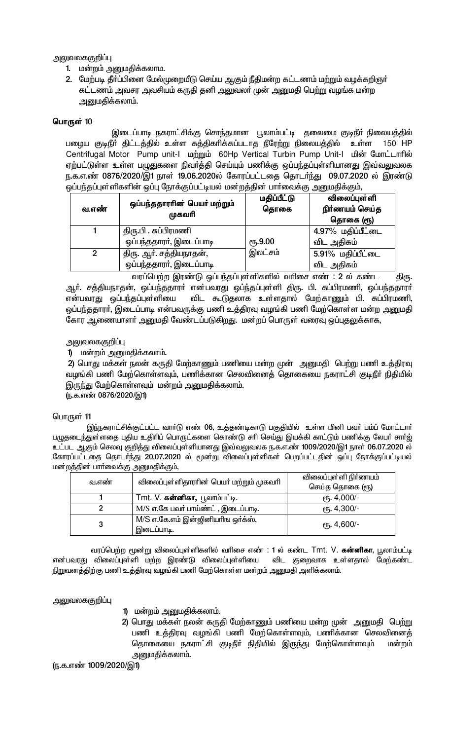அலுவலககுறிப்பு

- 1. மன்றம் அனுமதிக்கலாம.
- 2. மேற்படி தீா்ப்பினை மேல்முறையீடு செய்ய ஆகும் நீதிமன்ற கட்டணம் மற்றும் வழக்கறிஞா் கட்டணம் அவசர அவசியம் கருதி தனி அலுவலா் முன் அனுமதி பெற்று வழங்க மன்ற அனுமதிக்கலாம்.

#### பொருள் 10

இடைப்பாடி நகராட்சிக்கு சொந்தமான பூலாம்பட்டி தலைமை குடிநீா் நிலையத்தில் பழைய குடிநீா் திட்டத்தில் உள்ள சுத்திகாிக்கப்படாத நீரேற்று நிலையத்தில் உள்ள 150 HP Centrifugal Motor Pump unit-I **unomula 60Hp Vertical Turbin Pump Unit-I** பின் மோட்டாரில் ஏற்பட்டுள்ள உள்ள பழுதுகளை நிவா்த்தி செய்யும் பணிக்கு ஒப்பந்தப்புள்ளியானது இவ்வலுவலக ந.க.எ.ண் 0876/2020/இ1 நாள் 19.06.2020ல் கோரப்பட்டதை தொடர்ந்து 09.07.2020 ல் இரண்டு ஒப்பந்தப்புள்ளிகளின் ஒப்பு நோக்குப்பட்டியல் மன்றத்தின் பாா்வைக்கு அனுமதிக்கும்,

| வ.எண்          | ஒப்பந்ததாரரின் பெயர் மற்றும்<br>முகவரி | மதிப்பீட்டு<br>தொகை | விலைப்புள்ளி<br>நிர்ணயம் செய்த<br>தொகை (ரூ) |
|----------------|----------------------------------------|---------------------|---------------------------------------------|
|                | திரு.பி . சுப்பிரமணி                   |                     | 4.97% மதிப்பீட்டை                           |
|                | ஒப்பந்ததாரா், இடைப்பாடி                | <b>е</b> ђ.9.00     | விட அதிகம்                                  |
| $\overline{2}$ | திரு. ஆா். சத்தியநாதன்,                | இலட்சம்             | 5.91% மதிப்பீட்டை                           |
|                | ஒப்பந்ததாரா், இடைப்பாடி                |                     | விட அதிகம்                                  |

வரப்பெற்ற இரண்டு ஒப்பந்தப்புள்ளிகளில் வரிசை எண் : 2 ல் கண்ட திரு. ஆர். சத்தியநாதன், ஒப்பந்ததாரா் என்பவரது ஒப்ந்தப்புள்ளி திரு. பி. சுப்பிரமணி, ஒப்பந்ததாரா் என்பவரது ஒப்பந்தப்புள்ளியை விட கூடுதலாக உள்ளதால் மேற்காணும் பி. சுப்பிரமணி, ஒப்பந்ததாரா், இடைப்பாடி என்பவருக்கு பணி உத்திரவு வழங்கி பணி மேற்கொள்ள மன்ற அனுமதி கோர ஆணையாளா் அனுமதி வேண்டப்படுகிறது. மன்றப் பொருள் வரைவு ஒப்புதலுக்காக,

# அலுவலககுறிப்பு

# 1) மன்றம் அனுமதிக்கலாம்.

2) பொது மக்கள் நலன் கருதி மேற்காணும் பணியை மன்ற முன் அனுமதி பெற்று பணி உத்திரவு வழங்கி பணி மேற்கொள்ளவும், பணிக்கான செலவினைத் தொகையை நகராட்சி குடிநீா் நிதியில் இருந்து மேற்கொள்ளவும் மன்றம் அனுமதிக்கலாம்.

<u>ரு.க.எண் 0876/2020/இ1)</u>

#### பொருள் 11

இந்நகராட்சிக்குட்பட்ட வார்டு எண் 06, உத்தண்டிகாடு பகுதியில் உள்ள மினி பவர் பம்ப் மோட்டார் பழுதடைந்துள்ளதை புதிய உதிரிப் பொருட்களை கொண்டு சரி செய்து இயக்கி காட்டும் பணிக்கு லேபர் சார்ஜ் உட்பட ஆகும் செலவு குறித்து விலைப்புள்ளியானது இவ்வலுவலக ந.க.எ.ண் 1009/2020/இ1 நாள் 06.07.2020 ல் கோரப்பட்டதை தொடர்ந்து 20.07.2020 ல் மூன்று விலைப்புள்ளிகள் பெறப்பட்டதின் ஒப்பு நோக்குப்பட்டியல் மன்றத்தின் பார்வைக்கு அனுமதிக்கும்,

|       |                                                 | விலைப்புள்ளி நிா்ணயம்  |
|-------|-------------------------------------------------|------------------------|
| வ.எண் | விலைப்புள்ளிதாராின் பெயா் மற்றும் முகவாி        | செய்த தொகை (ரூ)        |
|       | Tmt. V. கன்னிகா, பூலாம்பட்டி.                   | $\epsilon$ пъ. 4,000/- |
|       | M/S எ.கே பவர் பாய்ண்ட், இடைப்பாடி.              | еть. 4,300/-           |
|       | M/S எ.கே.எம் இன்ஜினியரிங ஒர்க்ஸ்,<br>இடைப்பாடி. | $e$ гђ. 4,600/-        |

வரப்பெற்ற மூன்று விலைப்புள்ளிகளில் வரிசை எண் : 1 ல் கண்ட Tmt. V. **கன்னிகா**, பூலாம்பட்டி என்பவரது விலைப்புள்ளி மற்ற இரண்டு விலைப்புள்ளியை விட குறைவாக உள்ளதால் மேற்கண்ட .<br>நிறுவனத்திற்கு பணி உத்திரவு வழங்கி பணி மேற்கொள்ள மன்றம் அனுமதி அளிக்கலாம்.

அலுவலககுறிப்பு

- 1) மன்றம் அனுமதிக்கலாம்.
- 2) பொது மக்கள் நலன் கருதி மேற்காணும் பணியை மன்ற முன் அனுமதி பெற்று பணி உத்திரவு வழங்கி பணி மேற்கொள்ளவும், பணிக்கான செலவினைத் தொகையை நகராட்சி குடிநீா் நிதியில் இருந்து மேற்கொள்ளவும் மன்றம் அனுமதிக்கலாம்.

(ந.க.எண் 1009/2020/இ1)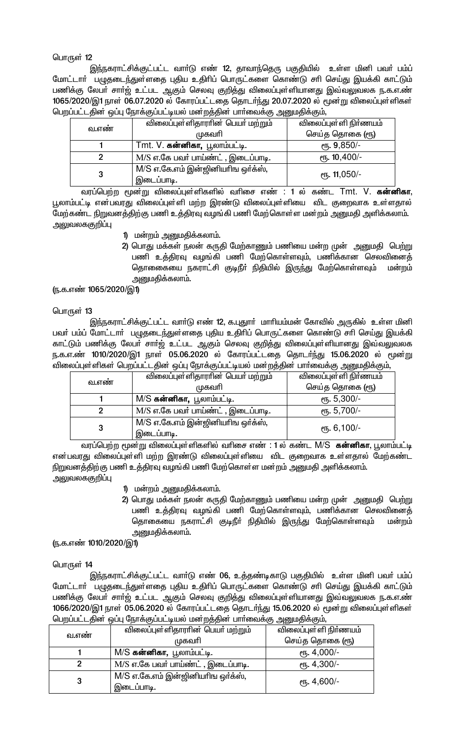# பொருள் 12

இந்நகராட்சிக்குட்பட்ட வாா்டு எண் 12, தாவாந்தெரு பகுதியில் உள்ள மினி பவா் பம்ப் மோட்டாா் பழுதடைந்துள்ளதை புதிய உதிாிப் பொருட்களை கொண்டு சாி செய்து இயக்கி காட்டும் பணிக்கு லேபா் சாா்ஜ் உட்பட ஆகும் செலவு குறித்து விலைப்புள்ளியானது இவ்வலுவலக ந.க.எ.ண் 1065/2020/இ1 நாள் 06.07.2020 ல் கோரப்பட்டதை தொடர்ந்து 20.07.2020 ல் மூன்று விலைப்புள்ளிகள் பெறப்பட்டதின் ஒப்பு நோக்குப்பட்டியல் மன்றத்தின் பார்வைக்கு அனுமதிக்கும்,

|       | விலைப்புள்ளிதாராின் பெயா் மற்றும்               | விலைப்புள்ளி நிா்ணயம்   |
|-------|-------------------------------------------------|-------------------------|
| வ.எண் | முகவரி                                          | செய்த தொகை (ரூ)         |
|       | Tmt. V. கன்னிகா, பூலாம்பட்டி.                   | <sub>e</sub> ҧ. 9,850/- |
|       | M/S எ.கே பவர் பாய்ண்ட் , இடைப்பாடி.             | $e$ гђ. 10,400/-        |
|       | M/S எ.கே.எம் இன்ஜினியரிங ஒர்க்ஸ்,<br>இடைப்பாடி. | еть. 11,050/-           |

வரப்பெற்ற மூன்று விலைப்புள்ளிகளில் வரிசை எண் : 1 ல் கண்ட Tmt. V. **கன்னிகா**, பூலாம்பட்டி என்பவரது விலைப்புள்ளி மற்ற இரண்டு விலைப்புள்ளியை விட குறைவாக உள்ளதால் மேற்கண்ட நிறுவனத்திற்கு பணி உத்திரவு வழங்கி பணி மேற்கொள்ள மன்றம் அனுமதி அளிக்கலாம். அலுவலககுறிப்பு

- 1) மன்றம் அனுமதிக்கலாம்.
- 2) பொது மக்கள் நலன் கருதி மேற்காணும் பணியை மன்ற முன் அனுமதி பெற்று பணி உத்திரவு வழங்கி பணி மேற்கொள்ளவும், பணிக்கான செலவினைத் தொணைகயை நகராட்சி குடிநீா் நிதியில் இருந்து மேற்கொள்ளவும் மன்றம் அனுமகிக்கலாம்.

(ந.க.எண் 1065/2020/இ1)

# பொருள் 13

இந்நகராட்சிக்குட்பட்ட வார்டு எண் 12, க.புதுார் மாரியம்மன் கோவில் அருகில் உள்ள மினி பவர் பம்ப் மோட்டார் பழுதடைந்துள்ளதை புதிய உதிரிப் பொருட்களை கொண்டு சரி செய்து இயக்கி காட்டும் பணிக்கு லேபா் சாா்ஜ் உட்பட ஆகும் செலவு குறித்து விலைப்புள்ளியானது இவ்வலுவலக ந.க.எ.ண் 1010/2020/இ1 நாள் 05.06.2020 ல் கோரப்பட்டதை தொடர்ந்து 15.06.2020 ல் மூன்று விலைப்புள்ளிகள் பெறப்பட்டதின் ஒப்பு நோக்குப்பட்டியல் மன்றத்தின் பார்வைக்கு அனுமதிக்கும்,

| வ.எண் | விலைப்புள்ளிதாராின் பெயா் மற்றும்                                             | விலைப்புள்ளி நிா்ணயம்        |
|-------|-------------------------------------------------------------------------------|------------------------------|
|       | முகவரி                                                                        | செய்த தொகை (ரூ)              |
|       | M/S க <b>ன்னிகா,</b> பூலாம்பட்டி.                                             | <sub>ሮ</sub> 5,300/-         |
|       | $\overline{\text{M}}$ / $\overline{\text{S}}$ எ.கே பவர் பாய்ண்ட் , இடைப்பாடி. | <sub>0</sub> წ. 5,700/-      |
| 3     | M/S எ.கே.எம் இன்ஜினியரிங ஒர்க்ஸ்,<br>இடைப்பாடி.                               | $e$ п <sub>5</sub> . 6,100/- |

வரப்பெற்ற மூன்று விலைப்புள்ளிகளில் வரிசை எண் : 1 ல் கண்ட M/S க**ன்னிகா**, பூலாம்பட்டி என்பவரது விலைப்புள்ளி மற்ற இரண்டு விலைப்புள்ளியை விட குறைவாக உள்ளதால் மேற்கண்ட நிறுவனத்திற்கு பணி உத்திரவு வழங்கி பணி மேற்கொள்ள மன்றம் அனுமதி அளிக்கலாம். அலுவலககுறிப்பு

- 1) மன்றம் அனுமதிக்கலாம்.
- 2) பொது மக்கள் நலன் கருதி மேற்காணும் பணியை மன்ற முன் அனுமதி பெற்று பணி உத்திரவு வழங்கி பணி மேற்கொள்ளவும், பணிக்கான செலவினைத் தொகையை நகராட்சி குடிநீா் நிதியில் இருந்து மேற்கொள்ளவும் மன்றம் அனுமதிக்கலாம்.

(ந.க.எண் 1010/2020/இ1)

# பொருள் 14

இந்நகராட்சிக்குட்பட்ட வாா்டு எண் 06, உத்தண்டிகாடு பகுதியில் உள்ள மினி பவா் பம்ப் மோட்டார் பழுதடைந்துள்ளதை புதிய உதிரிப் பொருட்களை கொண்டு சரி செய்து இயக்கி காட்டும் பணிக்கு லேபா் சாா்ஜ் உட்பட ஆகும் செலவு குறித்து விலைப்புள்ளியானது இவ்வலுவலக ந.க.எ.ண் 1066/2020/இ1 நாள் 05.06.2020 ல் கோரப்பட்டதை தொடர்ந்து 15.06.2020 ல் மூன்று விலைப்புள்ளிகள் பெறப்பட்டதின் ஒப்பு நோக்குப்பட்டியல் மன்றத்தின் பார்வைக்கு அனுமதிக்கும்,

|       | விலைப்புள்ளிதாராின் பெயா் மற்றும்               | விலைப்புள்ளி நிா்ணயம்        |  |
|-------|-------------------------------------------------|------------------------------|--|
| வ.எண் | முகவரி                                          | செய்த தொகை (ரூ)              |  |
|       | M/S க <b>ன்னிகா,</b> பூலாம்பட்டி.               | $e$ п <sub>5</sub> . 4,000/- |  |
|       | M/S எ.கே பவர் பாய்ண்ட் , இடைப்பாடி.             | $e$ гђ. 4,300/-              |  |
| 3     | M/S எ.கே.எம் இன்ஜினியரிங ஒர்க்ஸ்,<br>இடைப்பாடி. | $\epsilon$ п, 4,600/-        |  |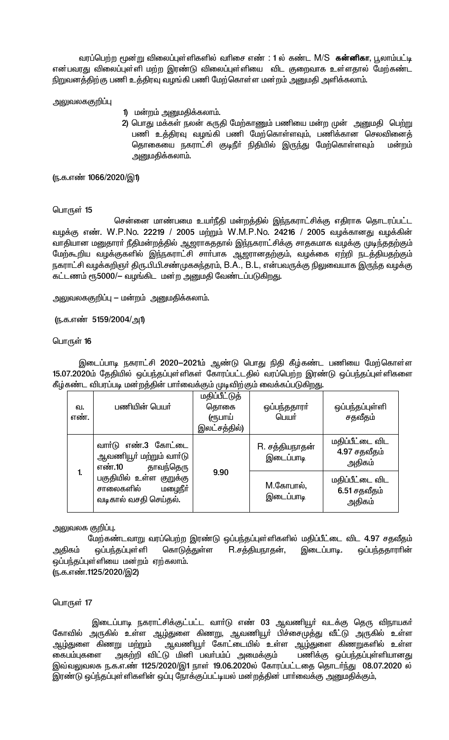வரப்பெற்ற மூன்று விலைப்புள்ளிகளில் வரிசை எண் : 1 ல் கண்ட M/S க**ன்னிகா**, பூலாம்பட்டி என்பவரது விலைப்புள்ளி மற்ற இரண்டு விலைப்புள்ளியை விட குறைவாக உள்ளதால் மேற்கண்ட நிறுவனத்திற்கு பணி உத்திரவு வழங்கி பணி மேற்கொள்ள மன்றம் அனுமதி அளிக்கலாம்.

அலுவலககுறிப்பு

- 1) மன்றம் அனுமதிக்கலாம்.
- 2) பொது மக்கள் நலன் கருதி மேற்காணும் பணியை மன்ற முன் அனுமதி பெற்று பணி உத்திரவு வழங்கி பணி மேற்கொள்ளவும், பணிக்கான செலவினைத் தொகையை நகராட்சி குடிநீா் நிதியில் இருந்து மேற்கொள்ளவும் மன்றம் அனுமதிக்கலாம்.

(ந.க.எண் 1066/2020/இ1)

#### பொருள் 15

சென்னை மாண்பமை உயா்நீதி மன்றத்தில் இந்நகராட்சிக்கு எதிராக தொடரப்பட்ட வழக்கு எண். W.P.No. 22219 / 2005 மற்றும் W.M.P.No. 24216 / 2005 வழக்கானது வழக்கின் வாதியான மனுதாரா் நீதிமன்றத்தில் ஆஜராகததால் இந்நகராட்சிக்கு சாதகமாக வழக்கு முடிந்ததற்கும் மேற்கூறிய வழக்குகளில் இந்நகராட்சி சாா்பாக ஆஜரானதற்கும், வழக்கை ஏற்றி நடத்தியதற்கும் நகராட்சி வழக்கறிஞா் திரு.பி.பி.சண்முகசுந்தரம், B.A., B.L, என்பவருக்கு நிலுவையாக இருந்த வழக்கு கட்டணம் ரூ5000/— வழங்கிட மன்ற அனுமதி வேண்டப்படுகிறது.

அலுவலககுறிப்பு — மன்றம் அனுமதிக்கலாம்.

(ந.க.எண் 5159/2004/அ1)

#### பொருள் 16

இடைப்பாடி நகராட்சி 2020–2021ம் ஆண்டு பொது நிதி கீழ்கண்ட பணியை மேற்கொள்ள 15.07.2020ம் தேதியில் ஒப்பந்தப்புள்ளிகள் கோரப்பட்டதில் வரப்பெற்ற இரண்டு ஒப்பந்தப்புள்ளிகளை கீழ்கண்ட விபரப்படி மன்றத்தின் பாா்வைக்கும் முடிவிற்கும் வைக்கப்படுகிறது.

|              | ഖ.<br>எண். | பணியின் பெயா்                                                                                                                                     | மதிப்பீட்டுத்<br>தொகை<br>(ரூபாய்<br>இலட்சத்தில்) | ஒப்பந்ததாரா்<br>பெயர்       | ஒப்பந்தப்புள்ளி<br>சதவீதம்                |
|--------------|------------|---------------------------------------------------------------------------------------------------------------------------------------------------|--------------------------------------------------|-----------------------------|-------------------------------------------|
| $\mathbf{1}$ |            | வார்டு எண்.3 கோட்டை<br>ஆவணியூா் மற்றும் வாா்டு<br>தாவந்தெரு<br>எண்.10<br>பகுதியில் உள்ள குறுக்கு<br>மழைநீர்<br>சாலைகளில்<br>வடிகால் வசதி செய்தல். | 9.90                                             | R. சத்தியநாதன்<br>இடைப்பாடி | மதிப்பீட்டை விட<br>4.97 சதவீதம்<br>அதிகம் |
|              |            |                                                                                                                                                   |                                                  | M.கோபால்,<br>இடைப்பாடி      | மதிப்பீட்டை விட<br>6.51 சதவீதம்<br>அதிகம் |

# அலுவலக குறிப்பு.

மேற்கண்டவாறு வரப்பெற்ற இரண்டு ஒப்பந்தப்புள்ளிகளில் மதிப்பீட்டை விட 4.97 சதவீதம் அதிகம் ஒப்பந்தப்புள்ளி கொடுத்துள்ள R.சத்தியநாதன், இடைப்பாடி. ஒப்பந்ததாராின் ஒப்பந்தப்புள்ளியை மன்றம் ஏற்கலாம். (ந.க.எண்.1125/2020/இ2)

பொருள் 17

இடைப்பாடி நகராட்சிக்குட்பட்ட வாா்டு எண் 03 ஆவணியூா் வடக்கு தெரு விநாயகா் கோவில் அருகில் உள்ள ஆழ்துளை கிணறு, ஆவணியூர் பிச்சைமுத்து வீட்டு அருகில் உள்ள ஆவணியூா் கோட்டையில் உள்ள ஆழ்துளை கிணறுகளில் உள்ள <u>ஆழ்து</u>ளை கிணறு மற்றும் அகற்றி விட்டு மினி பவர்பம்ப் அமைக்கும் பணிக்கு ஒப்பந்தப்புள்ளியானது கைபம்புகளை இவ்வலுவலக ந.க.எ.ண் 1125/2020/இ1 நாள் 19.06.2020ல் கோரப்பட்டதை தொடர்ந்து 08.07.2020 ல் இரண்டு ஒப்ந்தப்புள்ளிகளின் ஒப்பு நோக்குப்பட்டியல் மன்றத்தின் பார்வைக்கு அனுமதிக்கும்,